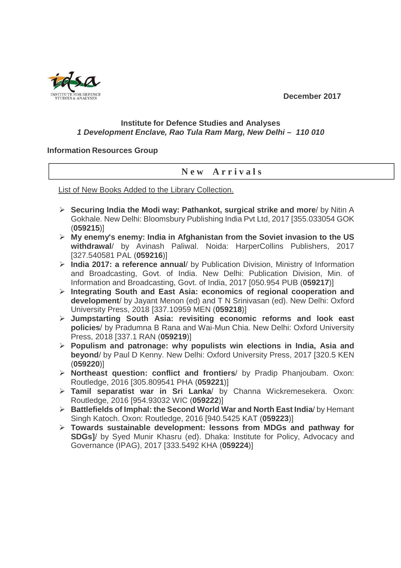**December 2017** 



## **Institute for Defence Studies and Analyses 1 Development Enclave, Rao Tula Ram Marg, New Delhi – 110 010**

## **Information Resources Group**

## **N e w A r r i v a l s**

List of New Books Added to the Library Collection.

- **Securing India the Modi way: Pathankot, surgical strike and more**/ by Nitin A Gokhale. New Delhi: Bloomsbury Publishing India Pvt Ltd, 2017 [355.033054 GOK (**059215**)]
- **My enemy's enemy: India in Afghanistan from the Soviet invasion to the US withdrawal**/ by Avinash Paliwal. Noida: HarperCollins Publishers, 2017 [327.540581 PAL (**059216**)]
- **India 2017: a reference annual**/ by Publication Division, Ministry of Information and Broadcasting, Govt. of India. New Delhi: Publication Division, Min. of Information and Broadcasting, Govt. of India, 2017 [050.954 PUB (**059217**)]
- **Integrating South and East Asia: economics of regional cooperation and development**/ by Jayant Menon (ed) and T N Srinivasan (ed). New Delhi: Oxford University Press, 2018 [337.10959 MEN (**059218**)]
- **Jumpstarting South Asia: revisiting economic reforms and look east policies**/ by Pradumna B Rana and Wai-Mun Chia. New Delhi: Oxford University Press, 2018 [337.1 RAN (**059219**)]
- **Populism and patronage: why populists win elections in India, Asia and beyond**/ by Paul D Kenny. New Delhi: Oxford University Press, 2017 [320.5 KEN (**059220**)]
- **Northeast question: conflict and frontiers**/ by Pradip Phanjoubam. Oxon: Routledge, 2016 [305.809541 PHA (**059221**)]
- **Tamil separatist war in Sri Lanka**/ by Channa Wickremesekera. Oxon: Routledge, 2016 [954.93032 WIC (**059222**)]
- **Battlefields of Imphal: the Second World War and North East India**/ by Hemant Singh Katoch. Oxon: Routledge, 2016 [940.5425 KAT (**059223**)]
- **Towards sustainable development: lessons from MDGs and pathway for SDGs]**/ by Syed Munir Khasru (ed). Dhaka: Institute for Policy, Advocacy and Governance (IPAG), 2017 [333.5492 KHA (**059224**)]